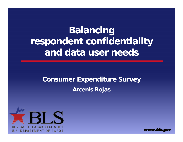# **Balancing respondent confidentiality and data user needs**

## **Consumer Expenditure Survey Arcenis Rojas**



www.bis.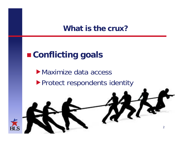#### **What is the crux?**

## **Conflicting goals**

Maximize data access▶ Protect respondents identity

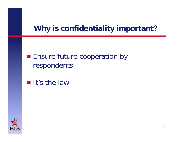## **Why is confidentiality important?**

## **Ensure future cooperation by** respondents

#### $\blacksquare$  It's the law

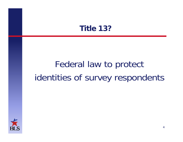## **Title 13?**

# Federal law to protect identities of survey respondents

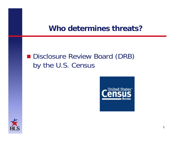#### **Who determines threats?**

## **Disclosure Review Board (DRB)** by the U.S. Census

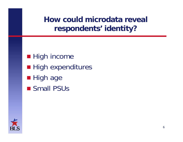**How could microdata reveal respondents' identity?** 

- High income
- **High expenditures**
- High age
- **Small PSUs**

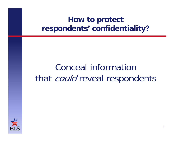# Conceal information that *could* reveal respondents

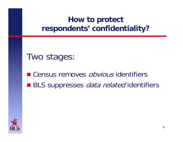Two stages:

■ Census removes *obvious* identifiers ■ BLS suppresses *data related* identifiers

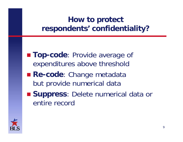- **Top-code**: Provide average of expenditures above threshold
- **Re-code**: Change metadata but provide numerical data
- **Suppress**: Delete numerical data or entire record

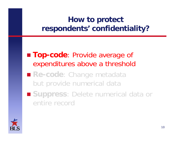**Top-code**: Provide average of expenditures above a threshold

- **Re-code**: Change metadata but provide numerical data
- Suppress: Delete numerical data or entire record

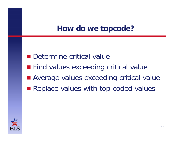## **How do we topcode?**

- **Determine critical value**
- **Find values exceeding critical value**
- Average values exceeding critical value
- Replace values with top-coded values

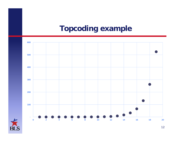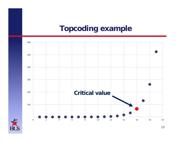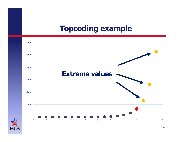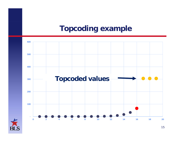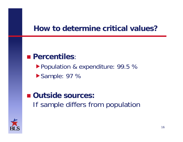## **How to determine critical values?**

#### **Percentiles**:

Population & expenditure: 99.5 % Sample: 97 %

## ■ Outside sources: If sample differs from population

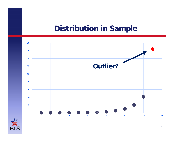## **Distribution in Sample**



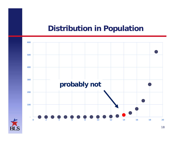#### **Distribution in Population**

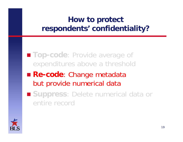**Top-code**: Provide average of expenditures above a threshold

- **Re-code**: Change metadata but provide numerical data
- Suppress: Delete numerical data or entire record

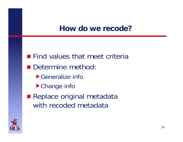## **How do we recode?**

**Find values that meet criteria** Determine method: Generalize infoChange info **Replace original metadata** with recoded metadata

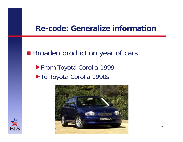#### **Re-code: Generalize information**

**Broaden production year of cars** From Toyota Corolla 1999 ▶ To Toyota Corolla 1990s



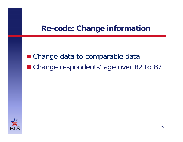## **Re-code: Change information**

■ Change data to comparable data ■ Change respondents' age over 82 to 87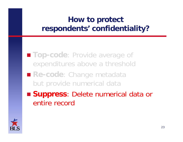**Top-code**: Provide average of expenditures above a threshold

 **Re-code**: Change metadata but provide numerical data

 **Suppress**: Delete numerical data or entire record

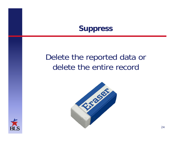#### **Suppress**

## Delete the reported data or delete the entire record



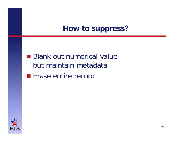## **How to suppress?**

- **Blank out numerical value** but maintain metadata
- **Erase entire record**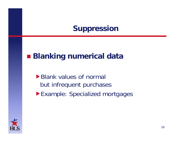## **Suppression**

## **Blanking numerical data**

- ▶ Blank values of normal but infrequent purchases
- Example: Specialized mortgages

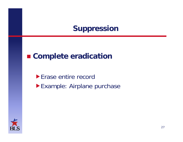## **Suppression**

## **Complete eradication**

**Erase entire record** Example: Airplane purchase

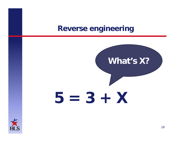#### **Reverse engineering**



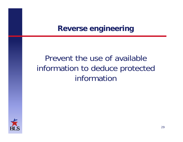## **Reverse engineering**

## Prevent the use of available information to deduce protected information

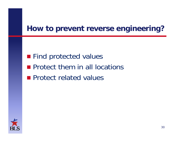## **How to prevent reverse engineering?**

**Find protected values Protect them in all locations Protect related values**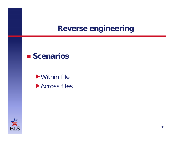## **Reverse engineering**

#### ■ Scenarios

Within file **Across files** 

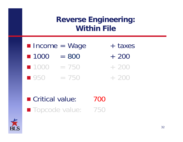- Income = Wage + taxes  $1000 = 800 + 200$
- $1000 = 750 + 200$
- $\blacksquare$  950  $\blacksquare$  = 750  $\blacksquare$  + 200

■ Critical value: 700 ■ Topcode value: 750

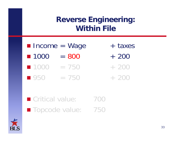|                    | $\blacksquare$ Income = Wage | + taxes |
|--------------------|------------------------------|---------|
| ■ 1000             | $= 800$                      | $+200$  |
| ■ 1000             | $=$ /50                      | $+200$  |
| $\blacksquare$ 950 | $= 750$                      | $+200$  |

■ Critical value: 700 ■ Topcode value: 750

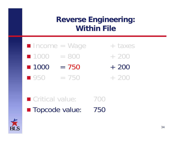- Income = Wage + taxes  $1000 = 800 + 200$  $1000 = 750 + 200$
- $\blacksquare$  950  $\blacksquare$  = 750  $\blacksquare$  + 200
- Critical value: 700 ■ Topcode value: 750

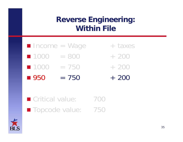| <b>n</b> Income = Wage    |         | + taxes |
|---------------------------|---------|---------|
| $\blacksquare$ 1000 = 800 |         | $+200$  |
| ■ 1000                    | $= 750$ | $+200$  |
| ■ 950                     | $= 750$ | $+200$  |

■ Critical value: 700 ■ Topcode value: 750

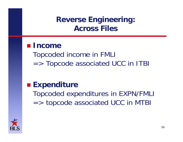## **Reverse Engineering: Across Files**

#### **Income**

Topcoded income in FMLI => Topcode associated UCC in ITBI

## **Expenditure**

Topcoded expenditures in EXPN/FMLI => topcode associated UCC in MTBI

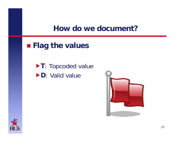#### **How do we document?**

**Flag the values**

**T**: Topcoded value **D**: Valid value



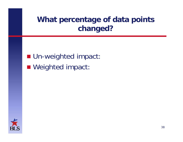## **What percentage of data points changed?**

**Un-weighted impact:** ■ Weighted impact: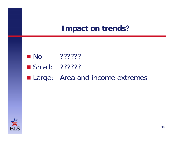#### **Impact on trends?**

- $\blacksquare$  No: ???????
- Small: ???????
- **Large:** Area and income extremes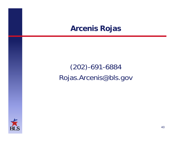### **Arcenis Rojas**

## (202)-691-6884 Rojas.Arcenis@bls.gov